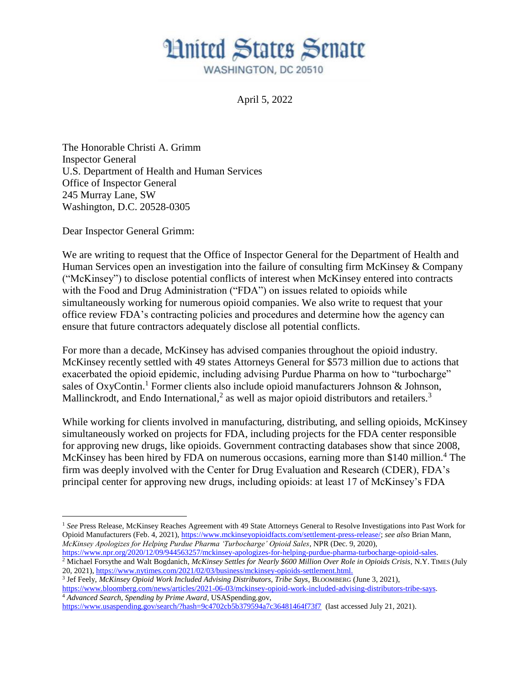## **Hnited States Senate** WASHINGTON, DC 20510

April 5, 2022

The Honorable Christi A. Grimm Inspector General U.S. Department of Health and Human Services Office of Inspector General 245 Murray Lane, SW Washington, D.C. 20528-0305

Dear Inspector General Grimm:

 $\overline{a}$ 

We are writing to request that the Office of Inspector General for the Department of Health and Human Services open an investigation into the failure of consulting firm McKinsey & Company ("McKinsey") to disclose potential conflicts of interest when McKinsey entered into contracts with the Food and Drug Administration ("FDA") on issues related to opioids while simultaneously working for numerous opioid companies. We also write to request that your office review FDA's contracting policies and procedures and determine how the agency can ensure that future contractors adequately disclose all potential conflicts.

For more than a decade, McKinsey has advised companies throughout the opioid industry. McKinsey recently settled with 49 states Attorneys General for \$573 million due to actions that exacerbated the opioid epidemic, including advising Purdue Pharma on how to "turbocharge" sales of OxyContin.<sup>1</sup> Former clients also include opioid manufacturers Johnson & Johnson, Mallinckrodt, and Endo International,<sup>2</sup> as well as major opioid distributors and retailers.<sup>3</sup>

While working for clients involved in manufacturing, distributing, and selling opioids, McKinsey simultaneously worked on projects for FDA, including projects for the FDA center responsible for approving new drugs, like opioids. Government contracting databases show that since 2008, McKinsey has been hired by FDA on numerous occasions, earning more than \$140 million.<sup>4</sup> The firm was deeply involved with the Center for Drug Evaluation and Research (CDER), FDA's principal center for approving new drugs, including opioids: at least 17 of McKinsey's FDA

[https://www.npr.org/2020/12/09/944563257/mckinsey-apologizes-for-helping-purdue-pharma-turbocharge-opioid-sales.](https://www.npr.org/2020/12/09/944563257/mckinsey-apologizes-for-helping-purdue-pharma-turbocharge-opioid-sales) <sup>2</sup> Michael Forsythe and Walt Bogdanich, *McKinsey Settles for Nearly \$600 Million Over Role in Opioids Crisis*, N.Y. TIMES (July 20, 2021), [https://www.nytimes.com/2021/02/03/business/mckinsey-opioids-settlement.html.](https://www.nytimes.com/2021/02/03/business/mckinsey-opioids-settlement.html)

[https://www.bloomberg.com/news/articles/2021-06-03/mckinsey-opioid-work-included-advising-distributors-tribe-says.](https://www.bloomberg.com/news/articles/2021-06-03/mckinsey-opioid-work-included-advising-distributors-tribe-says) <sup>4</sup> *Advanced Search, Spending by Prime Award*, USASpending.gov,

<https://www.usaspending.gov/search/?hash=9c4702cb5b379594a7c36481464f73f7>(last accessed July 21, 2021).

<sup>1</sup> *See* Press Release, McKinsey Reaches Agreement with 49 State Attorneys General to Resolve Investigations into Past Work for Opioid Manufacturers (Feb. 4, 2021)[, https://www.mckinseyopioidfacts.com/settlement-press-release/;](https://www.mckinseyopioidfacts.com/settlement-press-release/) *see also* Brian Mann, *McKinsey Apologizes for Helping Purdue Pharma 'Turbocharge' Opioid Sales*, NPR (Dec. 9, 2020),

<sup>3</sup> Jef Feely, *McKinsey Opioid Work Included Advising Distributors, Tribe Says*, BLOOMBERG (June 3, 2021),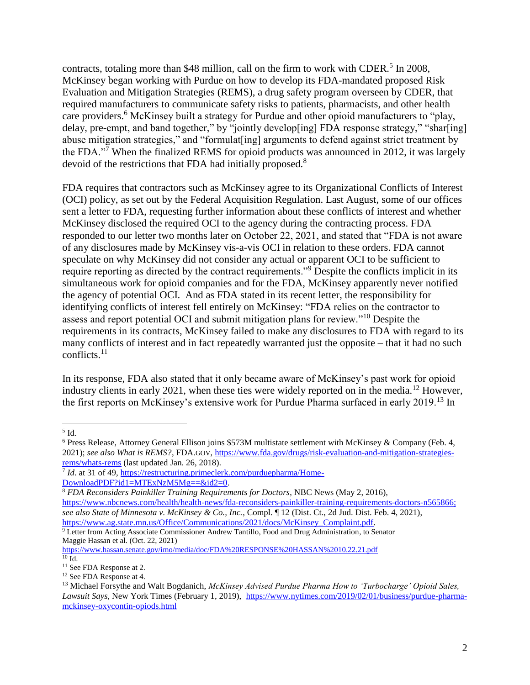contracts, totaling more than \$48 million, call on the firm to work with CDER.<sup>5</sup> In 2008, McKinsey began working with Purdue on how to develop its FDA-mandated proposed Risk Evaluation and Mitigation Strategies (REMS), a drug safety program overseen by CDER, that required manufacturers to communicate safety risks to patients, pharmacists, and other health care providers.<sup>6</sup> McKinsey built a strategy for Purdue and other opioid manufacturers to "play, delay, pre-empt, and band together," by "jointly develop[ing] FDA response strategy," "shar[ing] abuse mitigation strategies," and "formulat[ing] arguments to defend against strict treatment by the FDA. $\cdot^{\overline{7}}$  When the finalized REMS for opioid products was announced in 2012, it was largely devoid of the restrictions that FDA had initially proposed.<sup>8</sup>

FDA requires that contractors such as McKinsey agree to its Organizational Conflicts of Interest (OCI) policy, as set out by the Federal Acquisition Regulation. Last August, some of our offices sent a letter to FDA, requesting further information about these conflicts of interest and whether McKinsey disclosed the required OCI to the agency during the contracting process. FDA responded to our letter two months later on October 22, 2021, and stated that "FDA is not aware of any disclosures made by McKinsey vis-a-vis OCI in relation to these orders. FDA cannot speculate on why McKinsey did not consider any actual or apparent OCI to be sufficient to require reporting as directed by the contract requirements."<sup>9</sup> Despite the conflicts implicit in its simultaneous work for opioid companies and for the FDA, McKinsey apparently never notified the agency of potential OCI. And as FDA stated in its recent letter, the responsibility for identifying conflicts of interest fell entirely on McKinsey: "FDA relies on the contractor to assess and report potential OCI and submit mitigation plans for review."<sup>10</sup> Despite the requirements in its contracts, McKinsey failed to make any disclosures to FDA with regard to its many conflicts of interest and in fact repeatedly warranted just the opposite – that it had no such conflicts.<sup>11</sup>

In its response, FDA also stated that it only became aware of McKinsey's past work for opioid industry clients in early 2021, when these ties were widely reported on in the media.<sup>12</sup> However, the first reports on McKinsey's extensive work for Purdue Pharma surfaced in early 2019.<sup>13</sup> In

 $\overline{a}$  $^5$  Id.

<sup>6</sup> Press Release, Attorney General Ellison joins \$573M multistate settlement with McKinsey & Company (Feb. 4, 2021); *see also What is REMS?*, FDA.GOV, [https://www.fda.gov/drugs/risk-evaluation-and-mitigation-strategies](https://www.fda.gov/drugs/risk-evaluation-and-mitigation-strategies-rems/whats-rems)[rems/whats-rems](https://www.fda.gov/drugs/risk-evaluation-and-mitigation-strategies-rems/whats-rems) (last updated Jan. 26, 2018).

<sup>&</sup>lt;sup>7</sup> *Id.* at 31 of 49, [https://restructuring.primeclerk.com/purduepharma/Home-](https://restructuring.primeclerk.com/purduepharma/Home-DownloadPDF?id1=MTExNzM5Mg==&id2=0)[DownloadPDF?id1=MTExNzM5Mg==&id2=0.](https://restructuring.primeclerk.com/purduepharma/Home-DownloadPDF?id1=MTExNzM5Mg==&id2=0)

<sup>8</sup> *FDA Reconsiders Painkiller Training Requirements for Doctors*, NBC News (May 2, 2016), [https://www.nbcnews.com/health/health-news/fda-reconsiders-painkiller-training-requirements-doctors-n565866;](https://www.nbcnews.com/health/health-news/fda-reconsiders-painkiller-training-requirements-doctors-n565866) *see also State of Minnesota v. McKinsey & Co., Inc.*, Compl. ¶ 12 (Dist. Ct., 2d Jud. Dist. Feb. 4, 2021), [https://www.ag.state.mn.us/Office/Communications/2021/docs/McKinsey\\_Complaint.pdf.](https://www.ag.state.mn.us/Office/Communications/2021/docs/McKinsey_Complaint.pdf)

<sup>9</sup> Letter from Acting Associate Commissioner Andrew Tantillo, Food and Drug Administration, to Senator Maggie Hassan et al. (Oct. 22, 2021)

<https://www.hassan.senate.gov/imo/media/doc/FDA%20RESPONSE%20HASSAN%2010.22.21.pdf>  $10 \overline{\mathrm{Id}}$ .

<sup>&</sup>lt;sup>11</sup> See FDA Response at 2.

<sup>&</sup>lt;sup>12</sup> See FDA Response at 4.

<sup>13</sup> Michael Forsythe and Walt Bogdanich, *McKinsey Advised Purdue Pharma How to 'Turbocharge' Opioid Sales, Lawsuit Says*, New York Times (February 1, 2019), [https://www.nytimes.com/2019/02/01/business/purdue-pharma](https://www.nytimes.com/2019/02/01/business/purdue-pharma-mckinsey-oxycontin-opiods.html)[mckinsey-oxycontin-opiods.html](https://www.nytimes.com/2019/02/01/business/purdue-pharma-mckinsey-oxycontin-opiods.html)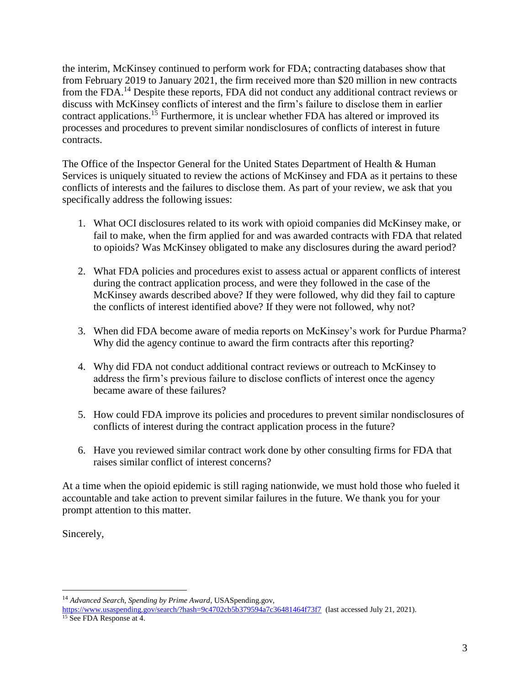the interim, McKinsey continued to perform work for FDA; contracting databases show that from February 2019 to January 2021, the firm received more than \$20 million in new contracts from the FDA.<sup>14</sup> Despite these reports, FDA did not conduct any additional contract reviews or discuss with McKinsey conflicts of interest and the firm's failure to disclose them in earlier contract applications.<sup>15</sup> Furthermore, it is unclear whether FDA has altered or improved its processes and procedures to prevent similar nondisclosures of conflicts of interest in future contracts.

The Office of the Inspector General for the United States Department of Health & Human Services is uniquely situated to review the actions of McKinsey and FDA as it pertains to these conflicts of interests and the failures to disclose them. As part of your review, we ask that you specifically address the following issues:

- 1. What OCI disclosures related to its work with opioid companies did McKinsey make, or fail to make, when the firm applied for and was awarded contracts with FDA that related to opioids? Was McKinsey obligated to make any disclosures during the award period?
- 2. What FDA policies and procedures exist to assess actual or apparent conflicts of interest during the contract application process, and were they followed in the case of the McKinsey awards described above? If they were followed, why did they fail to capture the conflicts of interest identified above? If they were not followed, why not?
- 3. When did FDA become aware of media reports on McKinsey's work for Purdue Pharma? Why did the agency continue to award the firm contracts after this reporting?
- 4. Why did FDA not conduct additional contract reviews or outreach to McKinsey to address the firm's previous failure to disclose conflicts of interest once the agency became aware of these failures?
- 5. How could FDA improve its policies and procedures to prevent similar nondisclosures of conflicts of interest during the contract application process in the future?
- 6. Have you reviewed similar contract work done by other consulting firms for FDA that raises similar conflict of interest concerns?

At a time when the opioid epidemic is still raging nationwide, we must hold those who fueled it accountable and take action to prevent similar failures in the future. We thank you for your prompt attention to this matter.

Sincerely,

 $\overline{a}$ 

<sup>14</sup> *Advanced Search, Spending by Prime Award*, USASpending.gov,

<https://www.usaspending.gov/search/?hash=9c4702cb5b379594a7c36481464f73f7>(last accessed July 21, 2021).

<sup>&</sup>lt;sup>15</sup> See FDA Response at 4.